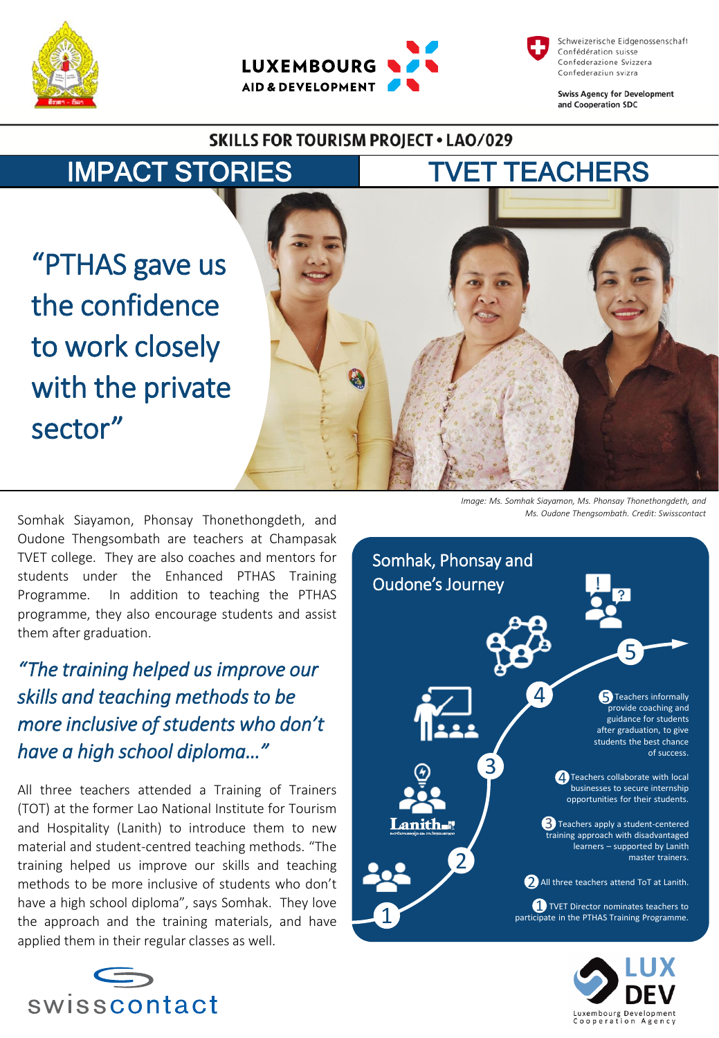



Schweizerische Eidgenossenschaft Confédération suisse Confederazione Svizzera Confederaziun svizra

**Swiss Agency for Development** and Cooperation SDC

## **SKILLS FOR TOURISM PROJECT . LAO/029**

IMPACT STORIES TVET TEACHERS

"PTHAS gave us the confidence to work closely with the private sector"



Somhak Siayamon, Phonsay Thonethongdeth, and Oudone Thengsombath are teachers at Champasak TVET college. They are also coaches and mentors for students under the Enhanced PTHAS Training Programme. In addition to teaching the PTHAS programme, they also encourage students and assist them after graduation.

*"The training helped us improve our skills and teaching methods to be more inclusive of students who don't have a high school diploma…"* 

All three teachers attended a Training of Trainers (TOT) at the former Lao National Institute for Tourism and Hospitality (Lanith) to introduce them to new material and student-centred teaching methods. "The training helped us improve our skills and teaching methods to be more inclusive of students who don't have a high school diploma", says Somhak. They love the approach and the training materials, and have applied them in their regular classes as well.



*Image: Ms. Somhak Siayamon, Ms. Phonsay Thonethongdeth, and Ms. Oudone Thengsombath. Credit: Swisscontact*